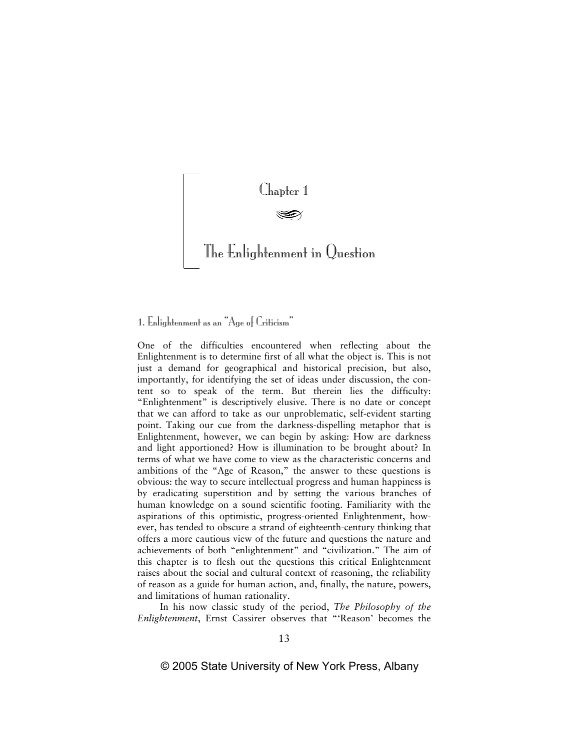

1. Enlightenment as an "Age of Criticism"

One of the difficulties encountered when reflecting about the Enlightenment is to determine first of all what the object is. This is not just a demand for geographical and historical precision, but also, importantly, for identifying the set of ideas under discussion, the content so to speak of the term. But therein lies the difficulty: "Enlightenment" is descriptively elusive. There is no date or concept that we can afford to take as our unproblematic, self-evident starting point. Taking our cue from the darkness-dispelling metaphor that is Enlightenment, however, we can begin by asking: How are darkness and light apportioned? How is illumination to be brought about? In terms of what we have come to view as the characteristic concerns and ambitions of the "Age of Reason," the answer to these questions is obvious: the way to secure intellectual progress and human happiness is by eradicating superstition and by setting the various branches of human knowledge on a sound scientific footing. Familiarity with the aspirations of this optimistic, progress-oriented Enlightenment, however, has tended to obscure a strand of eighteenth-century thinking that offers a more cautious view of the future and questions the nature and achievements of both "enlightenment" and "civilization." The aim of this chapter is to flesh out the questions this critical Enlightenment raises about the social and cultural context of reasoning, the reliability of reason as a guide for human action, and, finally, the nature, powers, and limitations of human rationality.

In his now classic study of the period, *The Philosophy of the Enlightenment*, Ernst Cassirer observes that "'Reason' becomes the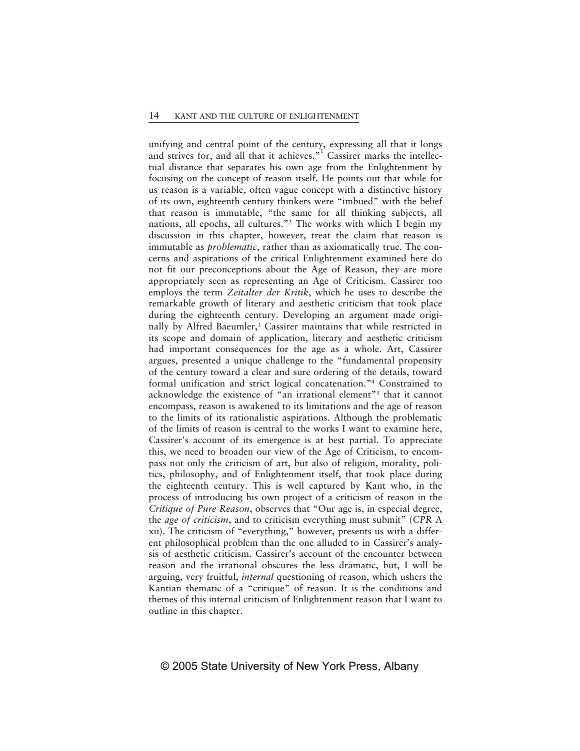unifying and central point of the century, expressing all that it longs and strives for, and all that it achieves."<sup>1</sup> Cassirer marks the intellectual distance that separates his own age from the Enlightenment by focusing on the concept of reason itself. He points out that while for us reason is a variable, often vague concept with a distinctive history of its own, eighteenth-century thinkers were "imbued" with the belief that reason is immutable, "the same for all thinking subjects, all nations, all epochs, all cultures."2 The works with which I begin my discussion in this chapter, however, treat the claim that reason is immutable as *problematic*, rather than as axiomatically true. The concerns and aspirations of the critical Enlightenment examined here do not fit our preconceptions about the Age of Reason, they are more appropriately seen as representing an Age of Criticism. Cassirer too employs the term *Zeitalter der Kritik*, which he uses to describe the remarkable growth of literary and aesthetic criticism that took place during the eighteenth century. Developing an argument made originally by Alfred Baeumler,<sup>3</sup> Cassirer maintains that while restricted in its scope and domain of application, literary and aesthetic criticism had important consequences for the age as a whole. Art, Cassirer argues, presented a unique challenge to the "fundamental propensity of the century toward a clear and sure ordering of the details, toward formal unification and strict logical concatenation."4 Constrained to acknowledge the existence of "an irrational element"<sup>5</sup> that it cannot encompass, reason is awakened to its limitations and the age of reason to the limits of its rationalistic aspirations. Although the problematic of the limits of reason is central to the works I want to examine here, Cassirer's account of its emergence is at best partial. To appreciate this, we need to broaden our view of the Age of Criticism, to encompass not only the criticism of art, but also of religion, morality, politics, philosophy, and of Enlightenment itself, that took place during the eighteenth century. This is well captured by Kant who, in the process of introducing his own project of a criticism of reason in the *Critique of Pure Reason*, observes that "Our age is, in especial degree, the *age of criticism*, and to criticism everything must submit" (*CPR* A xii). The criticism of "everything," however, presents us with a different philosophical problem than the one alluded to in Cassirer's analysis of aesthetic criticism. Cassirer's account of the encounter between reason and the irrational obscures the less dramatic, but, I will be arguing, very fruitful, *internal* questioning of reason, which ushers the Kantian thematic of a "critique" of reason. It is the conditions and themes of this internal criticism of Enlightenment reason that I want to outline in this chapter.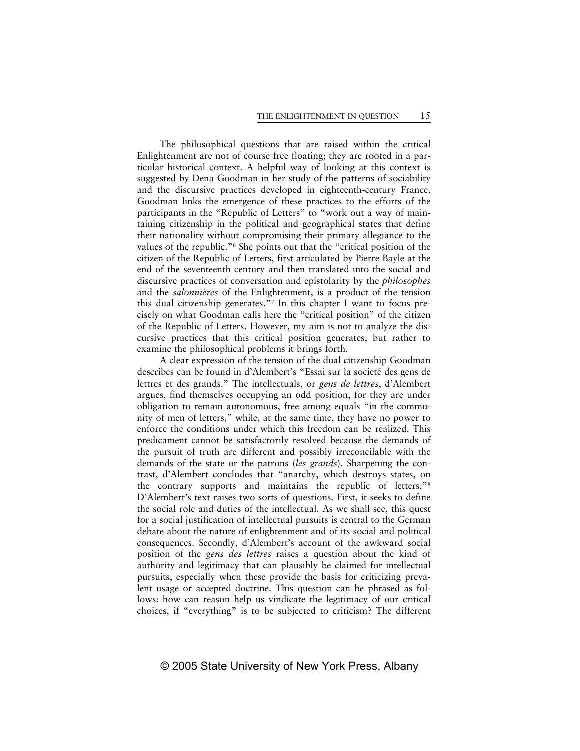The philosophical questions that are raised within the critical Enlightenment are not of course free floating; they are rooted in a particular historical context. A helpful way of looking at this context is suggested by Dena Goodman in her study of the patterns of sociability and the discursive practices developed in eighteenth-century France. Goodman links the emergence of these practices to the efforts of the participants in the "Republic of Letters" to "work out a way of maintaining citizenship in the political and geographical states that define their nationality without compromising their primary allegiance to the values of the republic."6 She points out that the "critical position of the citizen of the Republic of Letters, first articulated by Pierre Bayle at the end of the seventeenth century and then translated into the social and discursive practices of conversation and epistolarity by the *philosophes* and the *salonnières* of the Enlightenment, is a product of the tension this dual citizenship generates."7 In this chapter I want to focus precisely on what Goodman calls here the "critical position" of the citizen of the Republic of Letters. However, my aim is not to analyze the discursive practices that this critical position generates, but rather to examine the philosophical problems it brings forth.

A clear expression of the tension of the dual citizenship Goodman describes can be found in d'Alembert's "Essai sur la societé des gens de lettres et des grands." The intellectuals, or *gens de lettres*, d'Alembert argues, find themselves occupying an odd position, for they are under obligation to remain autonomous, free among equals "in the community of men of letters," while, at the same time, they have no power to enforce the conditions under which this freedom can be realized. This predicament cannot be satisfactorily resolved because the demands of the pursuit of truth are different and possibly irreconcilable with the demands of the state or the patrons (*les grands*). Sharpening the contrast, d'Alembert concludes that "anarchy, which destroys states, on the contrary supports and maintains the republic of letters."8 D'Alembert's text raises two sorts of questions. First, it seeks to define the social role and duties of the intellectual. As we shall see, this quest for a social justification of intellectual pursuits is central to the German debate about the nature of enlightenment and of its social and political consequences. Secondly, d'Alembert's account of the awkward social position of the *gens des lettres* raises a question about the kind of authority and legitimacy that can plausibly be claimed for intellectual pursuits, especially when these provide the basis for criticizing prevalent usage or accepted doctrine. This question can be phrased as follows: how can reason help us vindicate the legitimacy of our critical choices, if "everything" is to be subjected to criticism? The different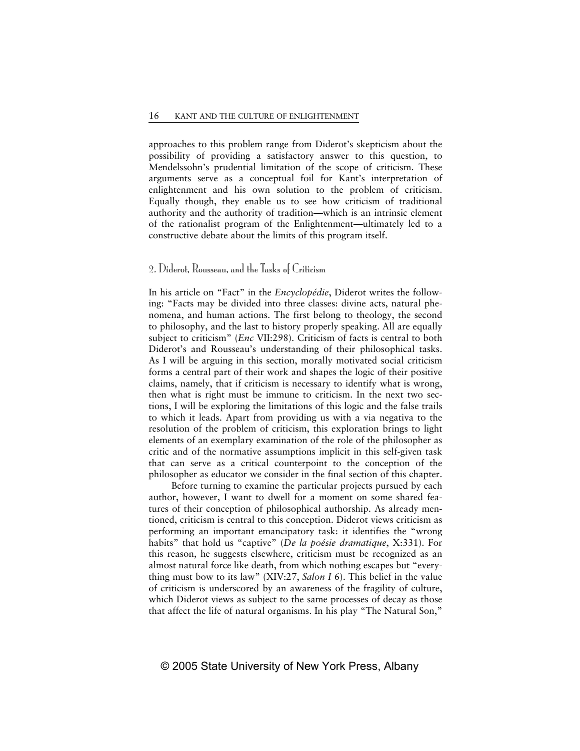approaches to this problem range from Diderot's skepticism about the possibility of providing a satisfactory answer to this question, to Mendelssohn's prudential limitation of the scope of criticism. These arguments serve as a conceptual foil for Kant's interpretation of enlightenment and his own solution to the problem of criticism. Equally though, they enable us to see how criticism of traditional authority and the authority of tradition—which is an intrinsic element of the rationalist program of the Enlightenment—ultimately led to a constructive debate about the limits of this program itself.

## 2. Diderot, Rousseau, and the Tasks of Criticism

In his article on "Fact" in the *Encyclopédie*, Diderot writes the following: "Facts may be divided into three classes: divine acts, natural phenomena, and human actions. The first belong to theology, the second to philosophy, and the last to history properly speaking. All are equally subject to criticism" (*Enc* VII:298). Criticism of facts is central to both Diderot's and Rousseau's understanding of their philosophical tasks. As I will be arguing in this section, morally motivated social criticism forms a central part of their work and shapes the logic of their positive claims, namely, that if criticism is necessary to identify what is wrong, then what is right must be immune to criticism. In the next two sections, I will be exploring the limitations of this logic and the false trails to which it leads. Apart from providing us with a via negativa to the resolution of the problem of criticism, this exploration brings to light elements of an exemplary examination of the role of the philosopher as critic and of the normative assumptions implicit in this self-given task that can serve as a critical counterpoint to the conception of the philosopher as educator we consider in the final section of this chapter.

Before turning to examine the particular projects pursued by each author, however, I want to dwell for a moment on some shared features of their conception of philosophical authorship. As already mentioned, criticism is central to this conception. Diderot views criticism as performing an important emancipatory task: it identifies the "wrong habits" that hold us "captive" (*De la poésie dramatique*, X:331). For this reason, he suggests elsewhere, criticism must be recognized as an almost natural force like death, from which nothing escapes but "everything must bow to its law" (XIV:27, *Salon I* 6). This belief in the value of criticism is underscored by an awareness of the fragility of culture, which Diderot views as subject to the same processes of decay as those that affect the life of natural organisms. In his play "The Natural Son,"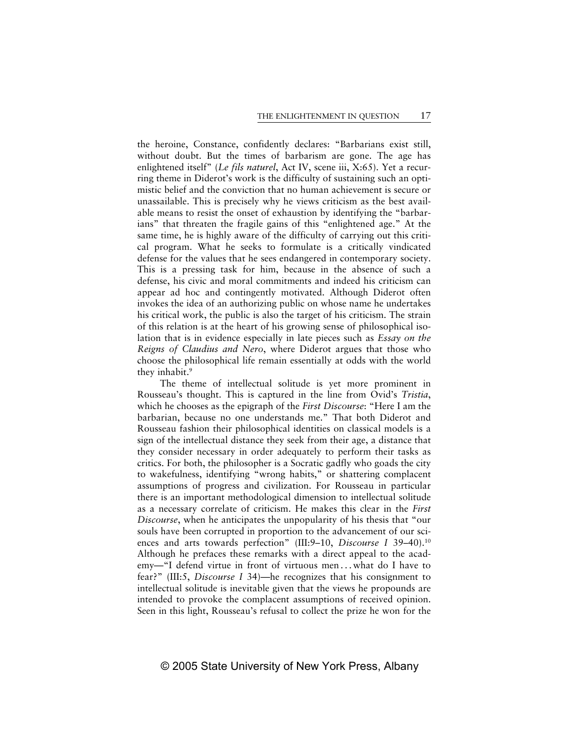the heroine, Constance, confidently declares: "Barbarians exist still, without doubt. But the times of barbarism are gone. The age has enlightened itself" (*Le fils naturel*, Act IV, scene iii, X:65). Yet a recurring theme in Diderot's work is the difficulty of sustaining such an optimistic belief and the conviction that no human achievement is secure or unassailable. This is precisely why he views criticism as the best available means to resist the onset of exhaustion by identifying the "barbarians" that threaten the fragile gains of this "enlightened age." At the same time, he is highly aware of the difficulty of carrying out this critical program. What he seeks to formulate is a critically vindicated defense for the values that he sees endangered in contemporary society. This is a pressing task for him, because in the absence of such a defense, his civic and moral commitments and indeed his criticism can appear ad hoc and contingently motivated. Although Diderot often invokes the idea of an authorizing public on whose name he undertakes his critical work, the public is also the target of his criticism. The strain of this relation is at the heart of his growing sense of philosophical isolation that is in evidence especially in late pieces such as *Essay on the Reigns of Claudius and Nero*, where Diderot argues that those who choose the philosophical life remain essentially at odds with the world they inhabit.9

The theme of intellectual solitude is yet more prominent in Rousseau's thought. This is captured in the line from Ovid's *Tristia*, which he chooses as the epigraph of the *First Discourse*: "Here I am the barbarian, because no one understands me." That both Diderot and Rousseau fashion their philosophical identities on classical models is a sign of the intellectual distance they seek from their age, a distance that they consider necessary in order adequately to perform their tasks as critics. For both, the philosopher is a Socratic gadfly who goads the city to wakefulness, identifying "wrong habits," or shattering complacent assumptions of progress and civilization. For Rousseau in particular there is an important methodological dimension to intellectual solitude as a necessary correlate of criticism. He makes this clear in the *First Discourse*, when he anticipates the unpopularity of his thesis that "our souls have been corrupted in proportion to the advancement of our sciences and arts towards perfection" (III:9-10, *Discourse I* 39-40).<sup>10</sup> Although he prefaces these remarks with a direct appeal to the academy—"I defend virtue in front of virtuous men ...what do I have to fear?" (III:5, *Discourse I* 34)—he recognizes that his consignment to intellectual solitude is inevitable given that the views he propounds are intended to provoke the complacent assumptions of received opinion. Seen in this light, Rousseau's refusal to collect the prize he won for the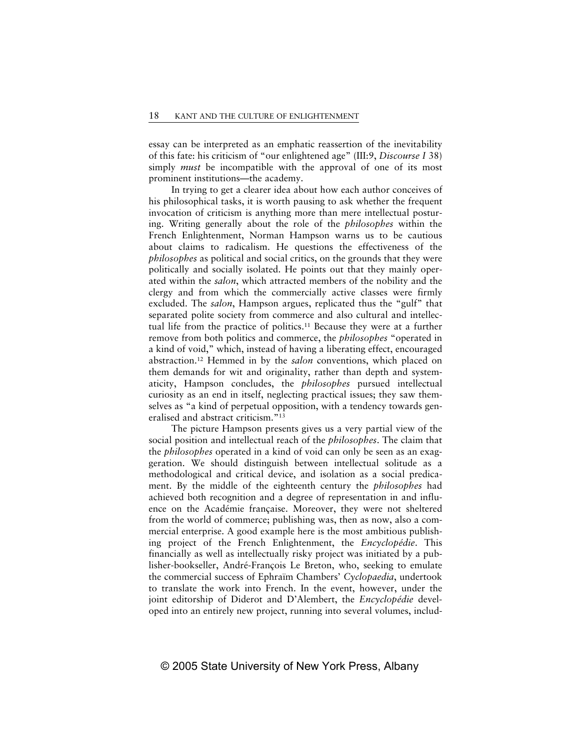essay can be interpreted as an emphatic reassertion of the inevitability of this fate: his criticism of "our enlightened age" (III:9, *Discourse I* 38) simply *must* be incompatible with the approval of one of its most prominent institutions—the academy.

In trying to get a clearer idea about how each author conceives of his philosophical tasks, it is worth pausing to ask whether the frequent invocation of criticism is anything more than mere intellectual posturing. Writing generally about the role of the *philosophes* within the French Enlightenment, Norman Hampson warns us to be cautious about claims to radicalism. He questions the effectiveness of the *philosophes* as political and social critics, on the grounds that they were politically and socially isolated. He points out that they mainly operated within the *salon*, which attracted members of the nobility and the clergy and from which the commercially active classes were firmly excluded. The *salon*, Hampson argues, replicated thus the "gulf" that separated polite society from commerce and also cultural and intellectual life from the practice of politics.11 Because they were at a further remove from both politics and commerce, the *philosophes* "operated in a kind of void," which, instead of having a liberating effect, encouraged abstraction.12 Hemmed in by the *salon* conventions, which placed on them demands for wit and originality, rather than depth and systematicity, Hampson concludes, the *philosophes* pursued intellectual curiosity as an end in itself, neglecting practical issues; they saw themselves as "a kind of perpetual opposition, with a tendency towards generalised and abstract criticism."13

The picture Hampson presents gives us a very partial view of the social position and intellectual reach of the *philosophes*. The claim that the *philosophes* operated in a kind of void can only be seen as an exaggeration. We should distinguish between intellectual solitude as a methodological and critical device, and isolation as a social predicament. By the middle of the eighteenth century the *philosophes* had achieved both recognition and a degree of representation in and influence on the Académie française. Moreover, they were not sheltered from the world of commerce; publishing was, then as now, also a commercial enterprise. A good example here is the most ambitious publishing project of the French Enlightenment, the *Encyclopédie*. This financially as well as intellectually risky project was initiated by a publisher-bookseller, André-François Le Breton, who, seeking to emulate the commercial success of Ephraïm Chambers' *Cyclopaedia*, undertook to translate the work into French. In the event, however, under the joint editorship of Diderot and D'Alembert, the *Encyclopédie* developed into an entirely new project, running into several volumes, includ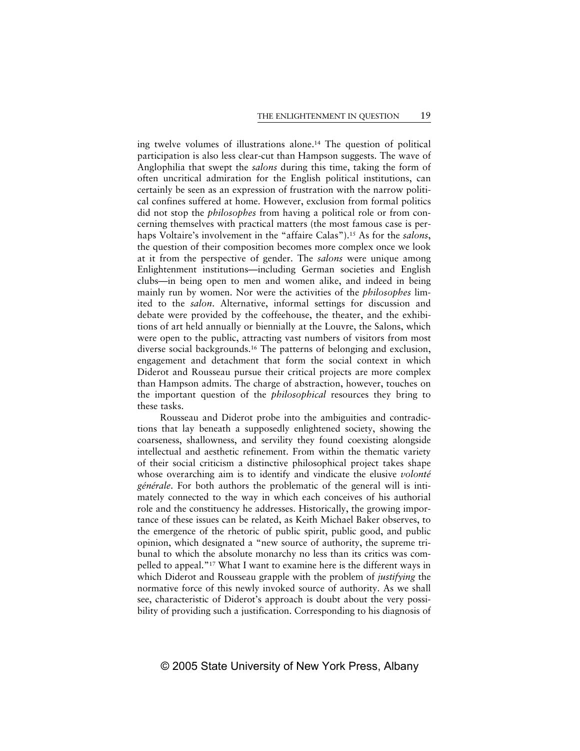ing twelve volumes of illustrations alone.14 The question of political participation is also less clear-cut than Hampson suggests. The wave of Anglophilia that swept the *salons* during this time, taking the form of often uncritical admiration for the English political institutions, can certainly be seen as an expression of frustration with the narrow political confines suffered at home. However, exclusion from formal politics did not stop the *philosophes* from having a political role or from concerning themselves with practical matters (the most famous case is perhaps Voltaire's involvement in the "affaire Calas").15 As for the *salons*, the question of their composition becomes more complex once we look at it from the perspective of gender. The *salons* were unique among Enlightenment institutions—including German societies and English clubs—in being open to men and women alike, and indeed in being mainly run by women. Nor were the activities of the *philosophes* limited to the *salon*. Alternative, informal settings for discussion and debate were provided by the coffeehouse, the theater, and the exhibitions of art held annually or biennially at the Louvre, the Salons, which were open to the public, attracting vast numbers of visitors from most diverse social backgrounds.16 The patterns of belonging and exclusion, engagement and detachment that form the social context in which Diderot and Rousseau pursue their critical projects are more complex than Hampson admits. The charge of abstraction, however, touches on the important question of the *philosophical* resources they bring to these tasks.

Rousseau and Diderot probe into the ambiguities and contradictions that lay beneath a supposedly enlightened society, showing the coarseness, shallowness, and servility they found coexisting alongside intellectual and aesthetic refinement. From within the thematic variety of their social criticism a distinctive philosophical project takes shape whose overarching aim is to identify and vindicate the elusive *volonté générale*. For both authors the problematic of the general will is intimately connected to the way in which each conceives of his authorial role and the constituency he addresses. Historically, the growing importance of these issues can be related, as Keith Michael Baker observes, to the emergence of the rhetoric of public spirit, public good, and public opinion, which designated a "new source of authority, the supreme tribunal to which the absolute monarchy no less than its critics was compelled to appeal."17 What I want to examine here is the different ways in which Diderot and Rousseau grapple with the problem of *justifying* the normative force of this newly invoked source of authority. As we shall see, characteristic of Diderot's approach is doubt about the very possibility of providing such a justification. Corresponding to his diagnosis of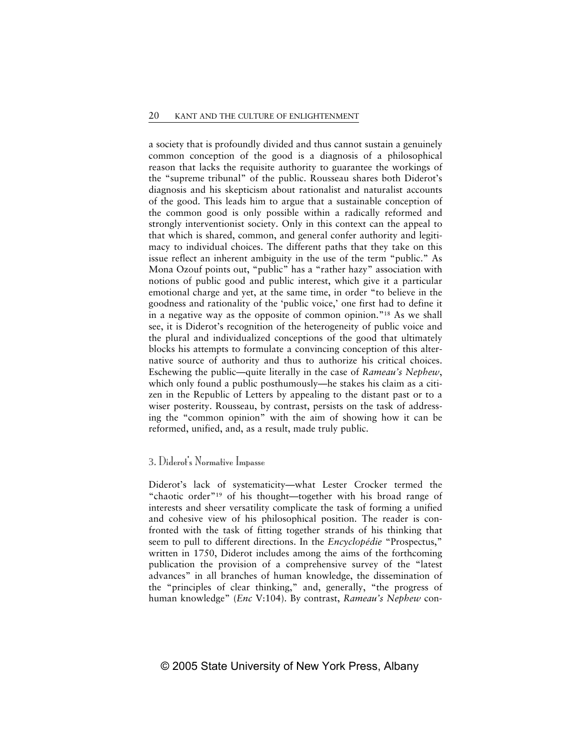a society that is profoundly divided and thus cannot sustain a genuinely common conception of the good is a diagnosis of a philosophical reason that lacks the requisite authority to guarantee the workings of the "supreme tribunal" of the public. Rousseau shares both Diderot's diagnosis and his skepticism about rationalist and naturalist accounts of the good. This leads him to argue that a sustainable conception of the common good is only possible within a radically reformed and strongly interventionist society. Only in this context can the appeal to that which is shared, common, and general confer authority and legitimacy to individual choices. The different paths that they take on this issue reflect an inherent ambiguity in the use of the term "public." As Mona Ozouf points out, "public" has a "rather hazy" association with notions of public good and public interest, which give it a particular emotional charge and yet, at the same time, in order "to believe in the goodness and rationality of the 'public voice,' one first had to define it in a negative way as the opposite of common opinion."18 As we shall see, it is Diderot's recognition of the heterogeneity of public voice and the plural and individualized conceptions of the good that ultimately blocks his attempts to formulate a convincing conception of this alternative source of authority and thus to authorize his critical choices. Eschewing the public—quite literally in the case of *Rameau's Nephew*, which only found a public posthumously—he stakes his claim as a citizen in the Republic of Letters by appealing to the distant past or to a wiser posterity. Rousseau, by contrast, persists on the task of addressing the "common opinion" with the aim of showing how it can be reformed, unified, and, as a result, made truly public.

## 3. Diderot's Normative Impasse

Diderot's lack of systematicity—what Lester Crocker termed the "chaotic order"19 of his thought—together with his broad range of interests and sheer versatility complicate the task of forming a unified and cohesive view of his philosophical position. The reader is confronted with the task of fitting together strands of his thinking that seem to pull to different directions. In the *Encyclopédie* "Prospectus," written in 1750, Diderot includes among the aims of the forthcoming publication the provision of a comprehensive survey of the "latest advances" in all branches of human knowledge, the dissemination of the "principles of clear thinking," and, generally, "the progress of human knowledge" (*Enc* V:104). By contrast, *Rameau's Nephew* con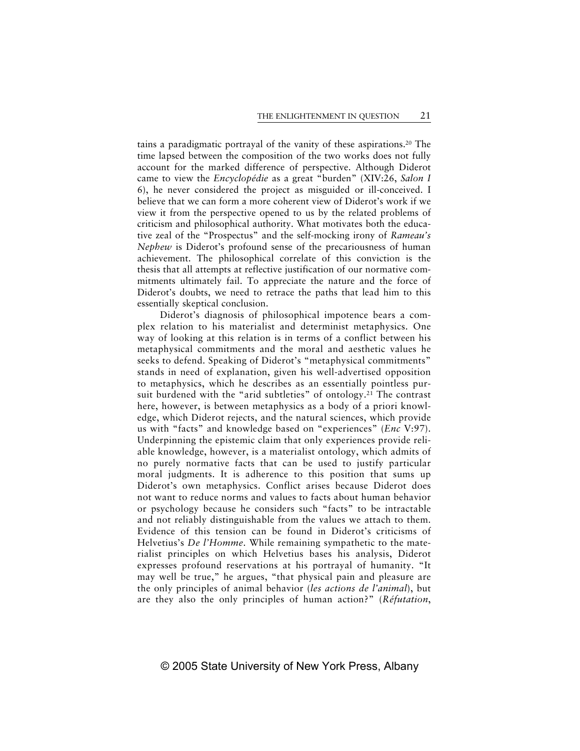tains a paradigmatic portrayal of the vanity of these aspirations.20 The time lapsed between the composition of the two works does not fully account for the marked difference of perspective. Although Diderot came to view the *Encyclopédie* as a great "burden" (XIV:26, *Salon I* 6), he never considered the project as misguided or ill-conceived. I believe that we can form a more coherent view of Diderot's work if we view it from the perspective opened to us by the related problems of criticism and philosophical authority. What motivates both the educative zeal of the "Prospectus" and the self-mocking irony of *Rameau's Nephew* is Diderot's profound sense of the precariousness of human achievement. The philosophical correlate of this conviction is the thesis that all attempts at reflective justification of our normative commitments ultimately fail. To appreciate the nature and the force of Diderot's doubts, we need to retrace the paths that lead him to this essentially skeptical conclusion.

Diderot's diagnosis of philosophical impotence bears a complex relation to his materialist and determinist metaphysics. One way of looking at this relation is in terms of a conflict between his metaphysical commitments and the moral and aesthetic values he seeks to defend. Speaking of Diderot's "metaphysical commitments" stands in need of explanation, given his well-advertised opposition to metaphysics, which he describes as an essentially pointless pursuit burdened with the "arid subtleties" of ontology.<sup>21</sup> The contrast here, however, is between metaphysics as a body of a priori knowledge, which Diderot rejects, and the natural sciences, which provide us with "facts" and knowledge based on "experiences" (*Enc* V:97). Underpinning the epistemic claim that only experiences provide reliable knowledge, however, is a materialist ontology, which admits of no purely normative facts that can be used to justify particular moral judgments. It is adherence to this position that sums up Diderot's own metaphysics. Conflict arises because Diderot does not want to reduce norms and values to facts about human behavior or psychology because he considers such "facts" to be intractable and not reliably distinguishable from the values we attach to them. Evidence of this tension can be found in Diderot's criticisms of Helvetius's *De l'Homme*. While remaining sympathetic to the materialist principles on which Helvetius bases his analysis, Diderot expresses profound reservations at his portrayal of humanity. "It may well be true," he argues, "that physical pain and pleasure are the only principles of animal behavior (*les actions de l'animal*), but are they also the only principles of human action?" (*Réfutation*,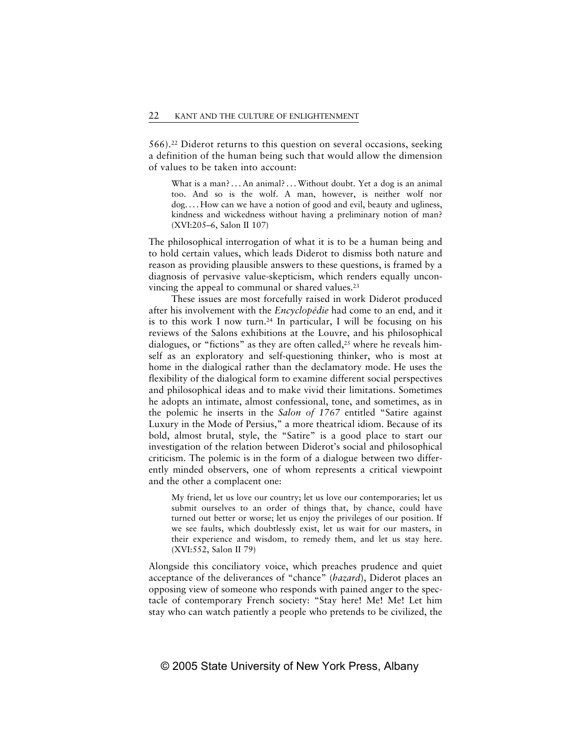566).22 Diderot returns to this question on several occasions, seeking a definition of the human being such that would allow the dimension of values to be taken into account:

What is a man?... An animal?... Without doubt. Yet a dog is an animal too. And so is the wolf. A man, however, is neither wolf nor dog. . . . How can we have a notion of good and evil, beauty and ugliness, kindness and wickedness without having a preliminary notion of man? (XVI:205–6, Salon II 107)

The philosophical interrogation of what it is to be a human being and to hold certain values, which leads Diderot to dismiss both nature and reason as providing plausible answers to these questions, is framed by a diagnosis of pervasive value-skepticism, which renders equally unconvincing the appeal to communal or shared values.23

These issues are most forcefully raised in work Diderot produced after his involvement with the *Encyclopédie* had come to an end, and it is to this work I now turn.24 In particular, I will be focusing on his reviews of the Salons exhibitions at the Louvre, and his philosophical dialogues, or "fictions" as they are often called,<sup>25</sup> where he reveals himself as an exploratory and self-questioning thinker, who is most at home in the dialogical rather than the declamatory mode. He uses the flexibility of the dialogical form to examine different social perspectives and philosophical ideas and to make vivid their limitations. Sometimes he adopts an intimate, almost confessional, tone, and sometimes, as in the polemic he inserts in the *Salon of 1767* entitled "Satire against Luxury in the Mode of Persius," a more theatrical idiom. Because of its bold, almost brutal, style, the "Satire" is a good place to start our investigation of the relation between Diderot's social and philosophical criticism. The polemic is in the form of a dialogue between two differently minded observers, one of whom represents a critical viewpoint and the other a complacent one:

My friend, let us love our country; let us love our contemporaries; let us submit ourselves to an order of things that, by chance, could have turned out better or worse; let us enjoy the privileges of our position. If we see faults, which doubtlessly exist, let us wait for our masters, in their experience and wisdom, to remedy them, and let us stay here. (XVI:552, Salon II 79)

Alongside this conciliatory voice, which preaches prudence and quiet acceptance of the deliverances of "chance" (*hazard*), Diderot places an opposing view of someone who responds with pained anger to the spectacle of contemporary French society: "Stay here! Me! Me! Let him stay who can watch patiently a people who pretends to be civilized, the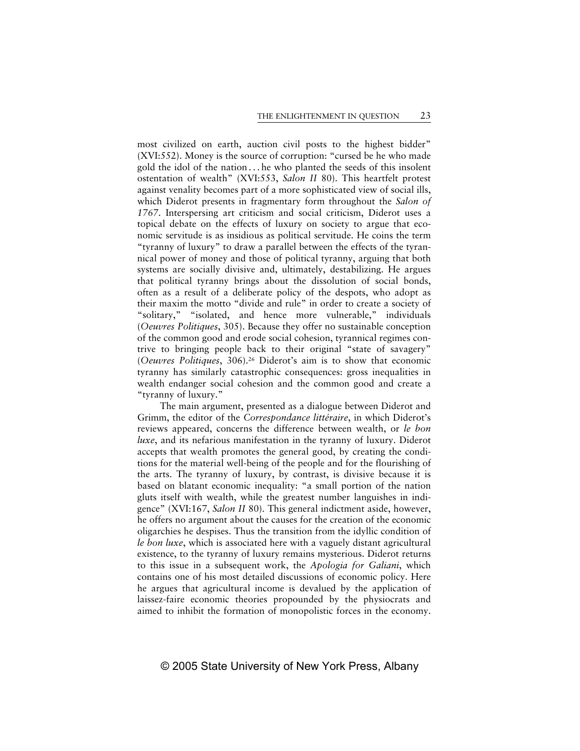most civilized on earth, auction civil posts to the highest bidder" (XVI:552). Money is the source of corruption: "cursed be he who made gold the idol of the nation . . . he who planted the seeds of this insolent ostentation of wealth" (XVI:553, *Salon II* 80). This heartfelt protest against venality becomes part of a more sophisticated view of social ills, which Diderot presents in fragmentary form throughout the *Salon of 1767*. Interspersing art criticism and social criticism, Diderot uses a topical debate on the effects of luxury on society to argue that economic servitude is as insidious as political servitude. He coins the term "tyranny of luxury" to draw a parallel between the effects of the tyrannical power of money and those of political tyranny, arguing that both systems are socially divisive and, ultimately, destabilizing. He argues that political tyranny brings about the dissolution of social bonds, often as a result of a deliberate policy of the despots, who adopt as their maxim the motto "divide and rule" in order to create a society of "solitary," "isolated, and hence more vulnerable," individuals (*Oeuvres Politiques*, 305). Because they offer no sustainable conception of the common good and erode social cohesion, tyrannical regimes contrive to bringing people back to their original "state of savagery" (*Oeuvres Politiques*, 306).26 Diderot's aim is to show that economic tyranny has similarly catastrophic consequences: gross inequalities in wealth endanger social cohesion and the common good and create a "tyranny of luxury."

The main argument, presented as a dialogue between Diderot and Grimm, the editor of the *Correspondance littéraire*, in which Diderot's reviews appeared, concerns the difference between wealth, or *le bon luxe*, and its nefarious manifestation in the tyranny of luxury. Diderot accepts that wealth promotes the general good, by creating the conditions for the material well-being of the people and for the flourishing of the arts. The tyranny of luxury, by contrast, is divisive because it is based on blatant economic inequality: "a small portion of the nation gluts itself with wealth, while the greatest number languishes in indigence" (XVI:167, *Salon II* 80). This general indictment aside, however, he offers no argument about the causes for the creation of the economic oligarchies he despises. Thus the transition from the idyllic condition of *le bon luxe*, which is associated here with a vaguely distant agricultural existence, to the tyranny of luxury remains mysterious. Diderot returns to this issue in a subsequent work, the *Apologia for Galiani*, which contains one of his most detailed discussions of economic policy. Here he argues that agricultural income is devalued by the application of laissez-faire economic theories propounded by the physiocrats and aimed to inhibit the formation of monopolistic forces in the economy.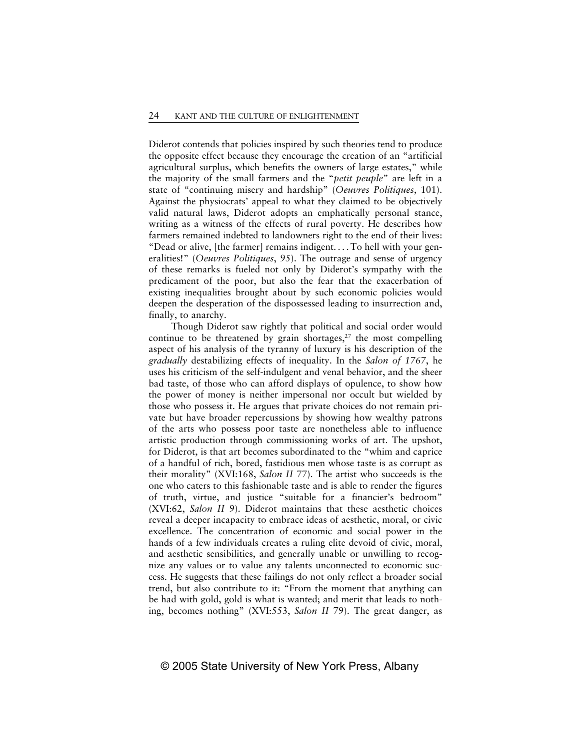Diderot contends that policies inspired by such theories tend to produce the opposite effect because they encourage the creation of an "artificial agricultural surplus, which benefits the owners of large estates," while the majority of the small farmers and the "*petit peuple*" are left in a state of "continuing misery and hardship" (*Oeuvres Politiques*, 101). Against the physiocrats' appeal to what they claimed to be objectively valid natural laws, Diderot adopts an emphatically personal stance, writing as a witness of the effects of rural poverty. He describes how farmers remained indebted to landowners right to the end of their lives: "Dead or alive, [the farmer] remains indigent. . . . To hell with your generalities!" (*Oeuvres Politiques*, 95). The outrage and sense of urgency of these remarks is fueled not only by Diderot's sympathy with the predicament of the poor, but also the fear that the exacerbation of existing inequalities brought about by such economic policies would deepen the desperation of the dispossessed leading to insurrection and, finally, to anarchy.

Though Diderot saw rightly that political and social order would continue to be threatened by grain shortages, $27$  the most compelling aspect of his analysis of the tyranny of luxury is his description of the *gradually* destabilizing effects of inequality. In the *Salon of 1767*, he uses his criticism of the self-indulgent and venal behavior, and the sheer bad taste, of those who can afford displays of opulence, to show how the power of money is neither impersonal nor occult but wielded by those who possess it. He argues that private choices do not remain private but have broader repercussions by showing how wealthy patrons of the arts who possess poor taste are nonetheless able to influence artistic production through commissioning works of art. The upshot, for Diderot, is that art becomes subordinated to the "whim and caprice of a handful of rich, bored, fastidious men whose taste is as corrupt as their morality" (XVI:168, *Salon II* 77). The artist who succeeds is the one who caters to this fashionable taste and is able to render the figures of truth, virtue, and justice "suitable for a financier's bedroom" (XVI:62, *Salon II* 9). Diderot maintains that these aesthetic choices reveal a deeper incapacity to embrace ideas of aesthetic, moral, or civic excellence. The concentration of economic and social power in the hands of a few individuals creates a ruling elite devoid of civic, moral, and aesthetic sensibilities, and generally unable or unwilling to recognize any values or to value any talents unconnected to economic success. He suggests that these failings do not only reflect a broader social trend, but also contribute to it: "From the moment that anything can be had with gold, gold is what is wanted; and merit that leads to nothing, becomes nothing" (XVI:553, *Salon II* 79). The great danger, as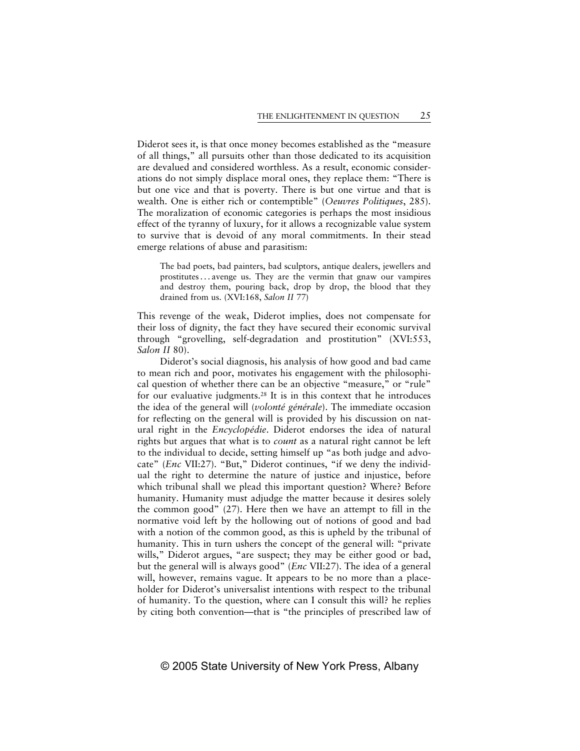Diderot sees it, is that once money becomes established as the "measure of all things," all pursuits other than those dedicated to its acquisition are devalued and considered worthless. As a result, economic considerations do not simply displace moral ones, they replace them: "There is but one vice and that is poverty. There is but one virtue and that is wealth. One is either rich or contemptible" (*Oeuvres Politiques*, 285). The moralization of economic categories is perhaps the most insidious effect of the tyranny of luxury, for it allows a recognizable value system to survive that is devoid of any moral commitments. In their stead emerge relations of abuse and parasitism:

The bad poets, bad painters, bad sculptors, antique dealers, jewellers and prostitutes. . . avenge us. They are the vermin that gnaw our vampires and destroy them, pouring back, drop by drop, the blood that they drained from us. (XVI:168, *Salon II* 77)

This revenge of the weak, Diderot implies, does not compensate for their loss of dignity, the fact they have secured their economic survival through "grovelling, self-degradation and prostitution" (XVI:553, *Salon II* 80).

Diderot's social diagnosis, his analysis of how good and bad came to mean rich and poor, motivates his engagement with the philosophical question of whether there can be an objective "measure," or "rule" for our evaluative judgments.28 It is in this context that he introduces the idea of the general will (*volonté générale*). The immediate occasion for reflecting on the general will is provided by his discussion on natural right in the *Encyclopédie*. Diderot endorses the idea of natural rights but argues that what is to *count* as a natural right cannot be left to the individual to decide, setting himself up "as both judge and advocate" (*Enc* VII:27). "But," Diderot continues, "if we deny the individual the right to determine the nature of justice and injustice, before which tribunal shall we plead this important question? Where? Before humanity. Humanity must adjudge the matter because it desires solely the common good" (27). Here then we have an attempt to fill in the normative void left by the hollowing out of notions of good and bad with a notion of the common good, as this is upheld by the tribunal of humanity. This in turn ushers the concept of the general will: "private wills," Diderot argues, "are suspect; they may be either good or bad, but the general will is always good" (*Enc* VII:27). The idea of a general will, however, remains vague. It appears to be no more than a placeholder for Diderot's universalist intentions with respect to the tribunal of humanity. To the question, where can I consult this will? he replies by citing both convention—that is "the principles of prescribed law of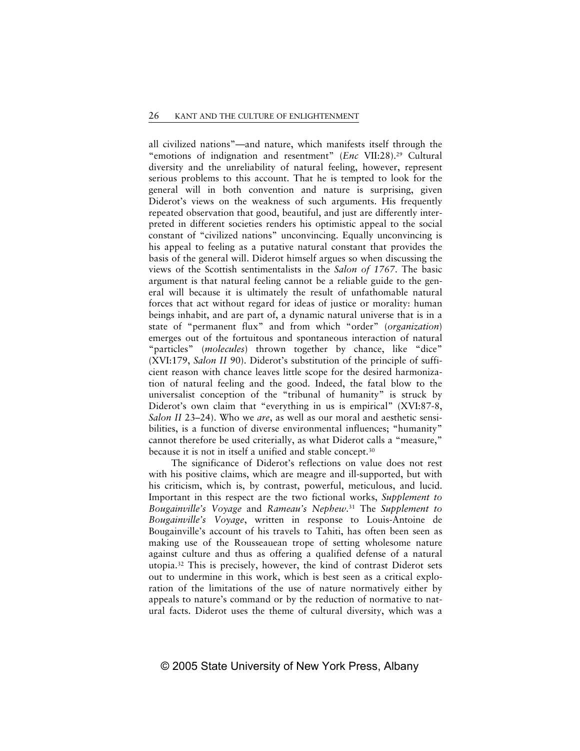all civilized nations"—and nature, which manifests itself through the "emotions of indignation and resentment" (*Enc* VII:28).29 Cultural diversity and the unreliability of natural feeling, however, represent serious problems to this account. That he is tempted to look for the general will in both convention and nature is surprising, given Diderot's views on the weakness of such arguments. His frequently repeated observation that good, beautiful, and just are differently interpreted in different societies renders his optimistic appeal to the social constant of "civilized nations" unconvincing. Equally unconvincing is his appeal to feeling as a putative natural constant that provides the basis of the general will. Diderot himself argues so when discussing the views of the Scottish sentimentalists in the *Salon of 1767*. The basic argument is that natural feeling cannot be a reliable guide to the general will because it is ultimately the result of unfathomable natural forces that act without regard for ideas of justice or morality: human beings inhabit, and are part of, a dynamic natural universe that is in a state of "permanent flux" and from which "order" (*organization*) emerges out of the fortuitous and spontaneous interaction of natural "particles" (*molecules*) thrown together by chance, like "dice" (XVI:179, *Salon II* 90). Diderot's substitution of the principle of sufficient reason with chance leaves little scope for the desired harmonization of natural feeling and the good. Indeed, the fatal blow to the universalist conception of the "tribunal of humanity" is struck by Diderot's own claim that "everything in us is empirical" (XVI:87-8, *Salon II* 23–24). Who we *are*, as well as our moral and aesthetic sensibilities, is a function of diverse environmental influences; "humanity" cannot therefore be used criterially, as what Diderot calls a "measure," because it is not in itself a unified and stable concept.30

The significance of Diderot's reflections on value does not rest with his positive claims, which are meagre and ill-supported, but with his criticism, which is, by contrast, powerful, meticulous, and lucid. Important in this respect are the two fictional works, *Supplement to Bougainville's Voyage* and *Rameau's Nephew*. <sup>31</sup> The *Supplement to Bougainville's Voyage*, written in response to Louis-Antoine de Bougainville's account of his travels to Tahiti, has often been seen as making use of the Rousseauean trope of setting wholesome nature against culture and thus as offering a qualified defense of a natural utopia.32 This is precisely, however, the kind of contrast Diderot sets out to undermine in this work, which is best seen as a critical exploration of the limitations of the use of nature normatively either by appeals to nature's command or by the reduction of normative to natural facts. Diderot uses the theme of cultural diversity, which was a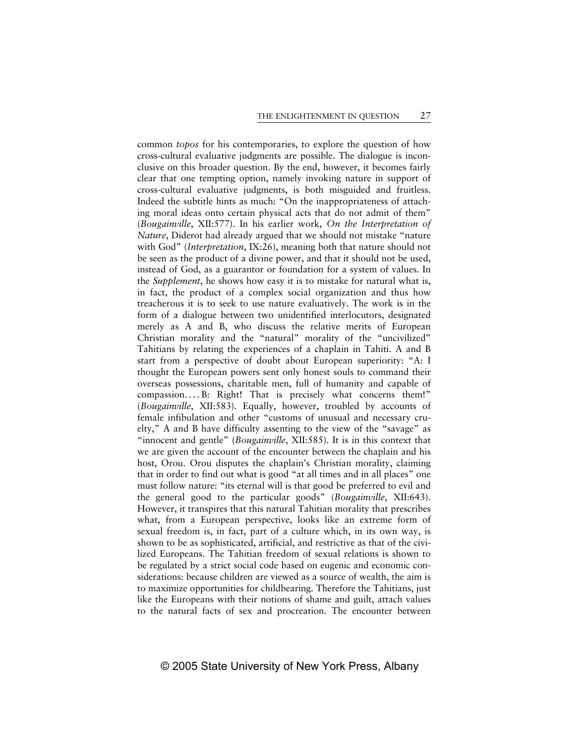common *topos* for his contemporaries, to explore the question of how cross-cultural evaluative judgments are possible. The dialogue is inconclusive on this broader question. By the end, however, it becomes fairly clear that one tempting option, namely invoking nature in support of cross-cultural evaluative judgments, is both misguided and fruitless. Indeed the subtitle hints as much: "On the inappropriateness of attaching moral ideas onto certain physical acts that do not admit of them" (*Bougainville*, XII:577). In his earlier work, *On the Interpretation of Nature*, Diderot had already argued that we should not mistake "nature with God" (*Interpretation*, IX:26), meaning both that nature should not be seen as the product of a divine power, and that it should not be used, instead of God, as a guarantor or foundation for a system of values. In the *Supplement*, he shows how easy it is to mistake for natural what is, in fact, the product of a complex social organization and thus how treacherous it is to seek to use nature evaluatively. The work is in the form of a dialogue between two unidentified interlocutors, designated merely as A and B, who discuss the relative merits of European Christian morality and the "natural" morality of the "uncivilized" Tahitians by relating the experiences of a chaplain in Tahiti. A and B start from a perspective of doubt about European superiority: "A: I thought the European powers sent only honest souls to command their overseas possessions, charitable men, full of humanity and capable of compassion....B: Right! That is precisely what concerns them!" (*Bougainville*, XII:583). Equally, however, troubled by accounts of female infibulation and other "customs of unusual and necessary cruelty," A and B have difficulty assenting to the view of the "savage" as "innocent and gentle" (*Bougainville*, XII:585). It is in this context that we are given the account of the encounter between the chaplain and his host, Orou. Orou disputes the chaplain's Christian morality, claiming that in order to find out what is good "at all times and in all places" one must follow nature: "its eternal will is that good be preferred to evil and the general good to the particular goods" (*Bougainville*, XII:643). However, it transpires that this natural Tahitian morality that prescribes what, from a European perspective, looks like an extreme form of sexual freedom is, in fact, part of a culture which, in its own way, is shown to be as sophisticated, artificial, and restrictive as that of the civilized Europeans. The Tahitian freedom of sexual relations is shown to be regulated by a strict social code based on eugenic and economic considerations: because children are viewed as a source of wealth, the aim is to maximize opportunities for childbearing. Therefore the Tahitians, just like the Europeans with their notions of shame and guilt, attach values to the natural facts of sex and procreation. The encounter between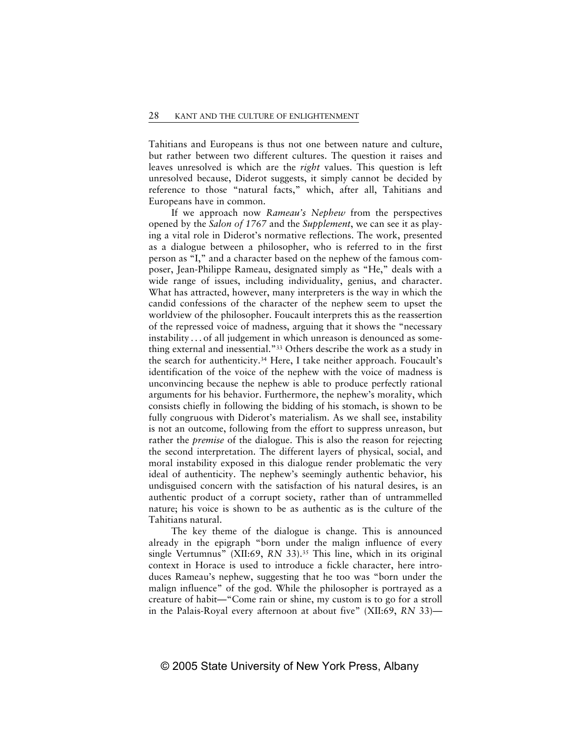Tahitians and Europeans is thus not one between nature and culture, but rather between two different cultures. The question it raises and leaves unresolved is which are the *right* values. This question is left unresolved because, Diderot suggests, it simply cannot be decided by reference to those "natural facts," which, after all, Tahitians and Europeans have in common.

If we approach now *Rameau's Nephew* from the perspectives opened by the *Salon of 1767* and the *Supplement*, we can see it as playing a vital role in Diderot's normative reflections. The work, presented as a dialogue between a philosopher, who is referred to in the first person as "I," and a character based on the nephew of the famous composer, Jean-Philippe Rameau, designated simply as "He," deals with a wide range of issues, including individuality, genius, and character. What has attracted, however, many interpreters is the way in which the candid confessions of the character of the nephew seem to upset the worldview of the philosopher. Foucault interprets this as the reassertion of the repressed voice of madness, arguing that it shows the "necessary instability . . . of all judgement in which unreason is denounced as something external and inessential."33 Others describe the work as a study in the search for authenticity.34 Here, I take neither approach. Foucault's identification of the voice of the nephew with the voice of madness is unconvincing because the nephew is able to produce perfectly rational arguments for his behavior. Furthermore, the nephew's morality, which consists chiefly in following the bidding of his stomach, is shown to be fully congruous with Diderot's materialism. As we shall see, instability is not an outcome, following from the effort to suppress unreason, but rather the *premise* of the dialogue. This is also the reason for rejecting the second interpretation. The different layers of physical, social, and moral instability exposed in this dialogue render problematic the very ideal of authenticity. The nephew's seemingly authentic behavior, his undisguised concern with the satisfaction of his natural desires, is an authentic product of a corrupt society, rather than of untrammelled nature; his voice is shown to be as authentic as is the culture of the Tahitians natural.

The key theme of the dialogue is change. This is announced already in the epigraph "born under the malign influence of every single Vertumnus" (XII:69, *RN* 33).35 This line, which in its original context in Horace is used to introduce a fickle character, here introduces Rameau's nephew, suggesting that he too was "born under the malign influence" of the god. While the philosopher is portrayed as a creature of habit—"Come rain or shine, my custom is to go for a stroll in the Palais-Royal every afternoon at about five" (XII:69, *RN* 33)—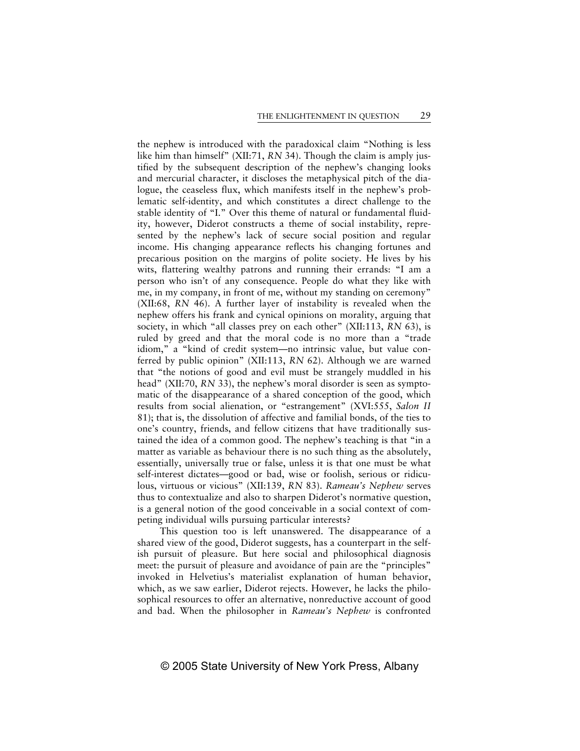the nephew is introduced with the paradoxical claim "Nothing is less like him than himself" (XII:71, *RN* 34). Though the claim is amply justified by the subsequent description of the nephew's changing looks and mercurial character, it discloses the metaphysical pitch of the dialogue, the ceaseless flux, which manifests itself in the nephew's problematic self-identity, and which constitutes a direct challenge to the stable identity of "I." Over this theme of natural or fundamental fluidity, however, Diderot constructs a theme of social instability, represented by the nephew's lack of secure social position and regular income. His changing appearance reflects his changing fortunes and precarious position on the margins of polite society. He lives by his wits, flattering wealthy patrons and running their errands: "I am a person who isn't of any consequence. People do what they like with me, in my company, in front of me, without my standing on ceremony" (XII:68, *RN* 46). A further layer of instability is revealed when the nephew offers his frank and cynical opinions on morality, arguing that society, in which "all classes prey on each other" (XII:113, *RN* 63), is ruled by greed and that the moral code is no more than a "trade idiom," a "kind of credit system—no intrinsic value, but value conferred by public opinion" (XII:113, *RN* 62). Although we are warned that "the notions of good and evil must be strangely muddled in his head" (XII:70, *RN* 33), the nephew's moral disorder is seen as symptomatic of the disappearance of a shared conception of the good, which results from social alienation, or "estrangement" (XVI:555, *Salon II* 81); that is, the dissolution of affective and familial bonds, of the ties to one's country, friends, and fellow citizens that have traditionally sustained the idea of a common good. The nephew's teaching is that "in a matter as variable as behaviour there is no such thing as the absolutely, essentially, universally true or false, unless it is that one must be what self-interest dictates—good or bad, wise or foolish, serious or ridiculous, virtuous or vicious" (XII:139, *RN* 83). *Rameau's Nephew* serves thus to contextualize and also to sharpen Diderot's normative question, is a general notion of the good conceivable in a social context of competing individual wills pursuing particular interests?

This question too is left unanswered. The disappearance of a shared view of the good, Diderot suggests, has a counterpart in the selfish pursuit of pleasure. But here social and philosophical diagnosis meet: the pursuit of pleasure and avoidance of pain are the "principles" invoked in Helvetius's materialist explanation of human behavior, which, as we saw earlier, Diderot rejects. However, he lacks the philosophical resources to offer an alternative, nonreductive account of good and bad. When the philosopher in *Rameau's Nephew* is confronted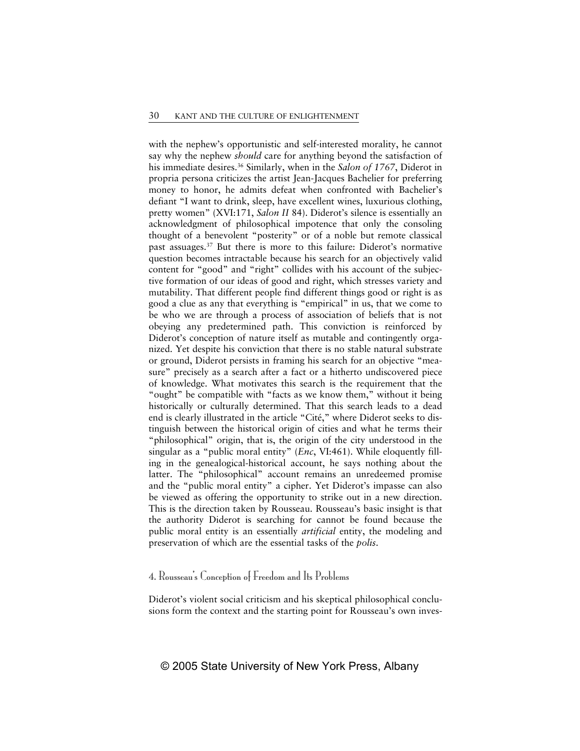with the nephew's opportunistic and self-interested morality, he cannot say why the nephew *should* care for anything beyond the satisfaction of his immediate desires.36 Similarly, when in the *Salon of 1767*, Diderot in propria persona criticizes the artist Jean-Jacques Bachelier for preferring money to honor, he admits defeat when confronted with Bachelier's defiant "I want to drink, sleep, have excellent wines, luxurious clothing, pretty women" (XVI:171, *Salon II* 84). Diderot's silence is essentially an acknowledgment of philosophical impotence that only the consoling thought of a benevolent "posterity" or of a noble but remote classical past assuages.37 But there is more to this failure: Diderot's normative question becomes intractable because his search for an objectively valid content for "good" and "right" collides with his account of the subjective formation of our ideas of good and right, which stresses variety and mutability. That different people find different things good or right is as good a clue as any that everything is "empirical" in us, that we come to be who we are through a process of association of beliefs that is not obeying any predetermined path. This conviction is reinforced by Diderot's conception of nature itself as mutable and contingently organized. Yet despite his conviction that there is no stable natural substrate or ground, Diderot persists in framing his search for an objective "measure" precisely as a search after a fact or a hitherto undiscovered piece of knowledge. What motivates this search is the requirement that the "ought" be compatible with "facts as we know them," without it being historically or culturally determined. That this search leads to a dead end is clearly illustrated in the article "Cité," where Diderot seeks to distinguish between the historical origin of cities and what he terms their "philosophical" origin, that is, the origin of the city understood in the singular as a "public moral entity" (*Enc*, VI:461). While eloquently filling in the genealogical-historical account, he says nothing about the latter. The "philosophical" account remains an unredeemed promise and the "public moral entity" a cipher. Yet Diderot's impasse can also be viewed as offering the opportunity to strike out in a new direction. This is the direction taken by Rousseau. Rousseau's basic insight is that the authority Diderot is searching for cannot be found because the public moral entity is an essentially *artificial* entity, the modeling and preservation of which are the essential tasks of the *polis*.

4. Rousseau's Conception of Freedom and Its Problems

Diderot's violent social criticism and his skeptical philosophical conclusions form the context and the starting point for Rousseau's own inves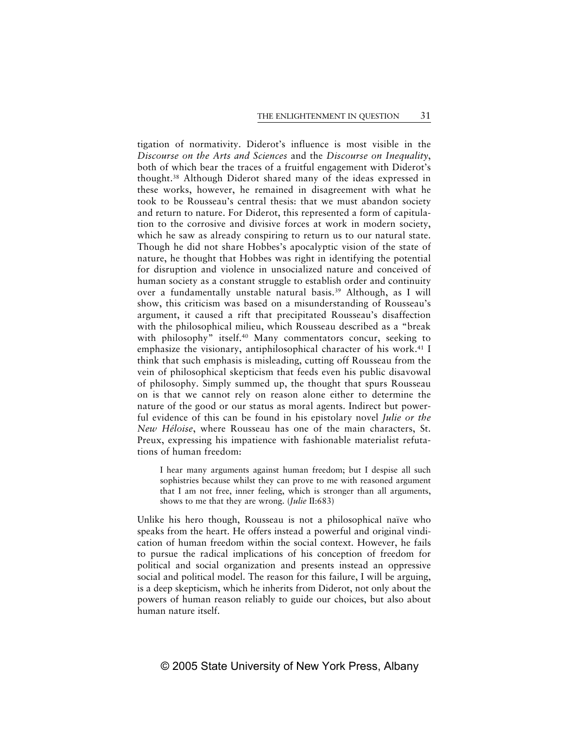tigation of normativity. Diderot's influence is most visible in the *Discourse on the Arts and Sciences* and the *Discourse on Inequality*, both of which bear the traces of a fruitful engagement with Diderot's thought.38 Although Diderot shared many of the ideas expressed in these works, however, he remained in disagreement with what he took to be Rousseau's central thesis: that we must abandon society and return to nature. For Diderot, this represented a form of capitulation to the corrosive and divisive forces at work in modern society, which he saw as already conspiring to return us to our natural state. Though he did not share Hobbes's apocalyptic vision of the state of nature, he thought that Hobbes was right in identifying the potential for disruption and violence in unsocialized nature and conceived of human society as a constant struggle to establish order and continuity over a fundamentally unstable natural basis.39 Although, as I will show, this criticism was based on a misunderstanding of Rousseau's argument, it caused a rift that precipitated Rousseau's disaffection with the philosophical milieu, which Rousseau described as a "break with philosophy" itself.<sup>40</sup> Many commentators concur, seeking to emphasize the visionary, antiphilosophical character of his work.<sup>41</sup> I think that such emphasis is misleading, cutting off Rousseau from the vein of philosophical skepticism that feeds even his public disavowal of philosophy. Simply summed up, the thought that spurs Rousseau on is that we cannot rely on reason alone either to determine the nature of the good or our status as moral agents. Indirect but powerful evidence of this can be found in his epistolary novel *Julie or the New Héloise*, where Rousseau has one of the main characters, St. Preux, expressing his impatience with fashionable materialist refutations of human freedom:

I hear many arguments against human freedom; but I despise all such sophistries because whilst they can prove to me with reasoned argument that I am not free, inner feeling, which is stronger than all arguments, shows to me that they are wrong. (*Julie* II:683)

Unlike his hero though, Rousseau is not a philosophical naïve who speaks from the heart. He offers instead a powerful and original vindication of human freedom within the social context. However, he fails to pursue the radical implications of his conception of freedom for political and social organization and presents instead an oppressive social and political model. The reason for this failure, I will be arguing, is a deep skepticism, which he inherits from Diderot, not only about the powers of human reason reliably to guide our choices, but also about human nature itself.